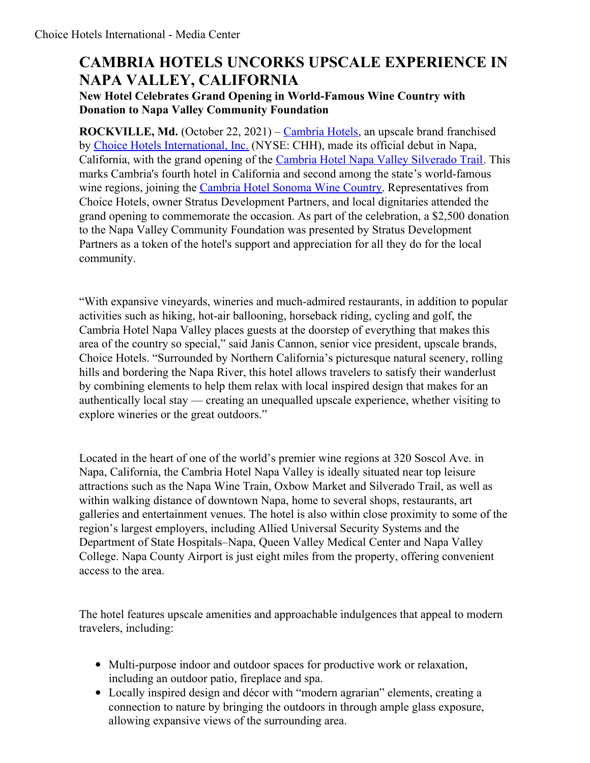# **CAMBRIA HOTELS UNCORKS UPSCALE EXPERIENCE IN NAPA VALLEY, CALIFORNIA**

### **New Hotel Celebrates Grand Opening in World-Famous Wine Country with Donation to Napa Valley Community Foundation**

**ROCKVILLE, Md.** (October 22, 2021) – [Cambria](https://www.choicehotels.com/cambria) Hotels, an upscale brand franchised by Choice Hotels [International,](https://www.choicehotels.com/) Inc. (NYSE: CHH), made its official debut in Napa, California, with the grand opening of the Cambria Hotel Napa Valley [Silverado](https://www.choicehotels.com/california/napa/cambria-hotels/caf61) Trail. This marks Cambria's fourth hotel in California and second among the state's world-famous wine regions, joining the [Cambria](https://www.choicehotels.com/california/rohnert-park/cambria-hotels/caf31) Hotel Sonoma Wine Country. Representatives from Choice Hotels, owner Stratus Development Partners, and local dignitaries attended the grand opening to commemorate the occasion. As part of the celebration, a \$2,500 donation to the Napa Valley Community Foundation was presented by Stratus Development Partners as a token of the hotel's support and appreciation for all they do for the local community.

"With expansive vineyards, wineries and much-admired restaurants, in addition to popular activities such as hiking, hot-air ballooning, horseback riding, cycling and golf, the Cambria Hotel Napa Valley places guests at the doorstep of everything that makes this area of the country so special," said Janis Cannon, senior vice president, upscale brands, Choice Hotels. "Surrounded by Northern California's picturesque natural scenery, rolling hills and bordering the Napa River, this hotel allows travelers to satisfy their wanderlust by combining elements to help them relax with local inspired design that makes for an authentically local stay — creating an unequalled upscale experience, whether visiting to explore wineries or the great outdoors."

Located in the heart of one of the world's premier wine regions at 320 Soscol Ave. in Napa, California, the Cambria Hotel Napa Valley is ideally situated near top leisure attractions such as the Napa Wine Train, Oxbow Market and Silverado Trail, as well as within walking distance of downtown Napa, home to several shops, restaurants, art galleries and entertainment venues. The hotel is also within close proximity to some of the region's largest employers, including Allied Universal Security Systems and the Department of State Hospitals–Napa, Queen Valley Medical Center and Napa Valley College. Napa County Airport is just eight miles from the property, offering convenient access to the area.

The hotel features upscale amenities and approachable indulgences that appeal to modern travelers, including:

- Multi-purpose indoor and outdoor spaces for productive work or relaxation, including an outdoor patio, fireplace and spa.
- Locally inspired design and décor with "modern agrarian" elements, creating a connection to nature by bringing the outdoors in through ample glass exposure, allowing expansive views of the surrounding area.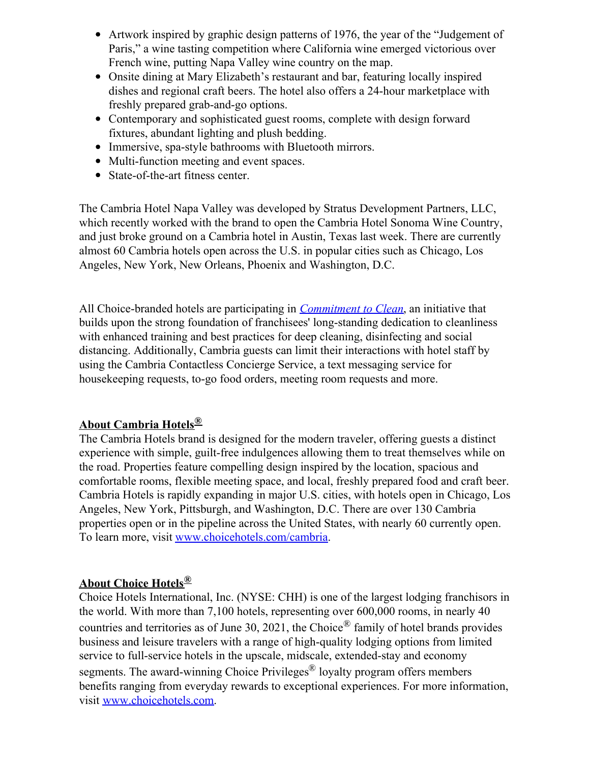- Artwork inspired by graphic design patterns of 1976, the year of the "Judgement of Paris," a wine tasting competition where California wine emerged victorious over French wine, putting Napa Valley wine country on the map.
- Onsite dining at Mary Elizabeth's restaurant and bar, featuring locally inspired dishes and regional craft beers. The hotel also offers a 24-hour marketplace with freshly prepared grab-and-go options.
- Contemporary and sophisticated guest rooms, complete with design forward fixtures, abundant lighting and plush bedding.
- Immersive, spa-style bathrooms with Bluetooth mirrors.
- Multi-function meeting and event spaces.
- State-of-the-art fitness center.

The Cambria Hotel Napa Valley was developed by Stratus Development Partners, LLC, which recently worked with the brand to open the Cambria Hotel Sonoma Wine Country, and just broke ground on a Cambria hotel in Austin, Texas last week. There are currently almost 60 Cambria hotels open across the U.S. in popular cities such as Chicago, Los Angeles, New York, New Orleans, Phoenix and Washington, D.C.

All Choice-branded hotels are participating in *[Commitment](https://www.choicehotels.com/about/commitment-to-clean-hotels#:~:text=Every%2520Choice%252Dbranded%2520hotel%2520will,protocols%2520into%2520their%2520hotel%27s%2520operations.) to Clean*, an initiative that builds upon the strong foundation of franchisees' long-standing dedication to cleanliness with enhanced training and best practices for deep cleaning, disinfecting and social distancing. Additionally, Cambria guests can limit their interactions with hotel staff by using the Cambria Contactless Concierge Service, a text messaging service for housekeeping requests, to-go food orders, meeting room requests and more.

### **About Cambria Hotels®**

The Cambria Hotels brand is designed for the modern traveler, offering guests a distinct experience with simple, guilt-free indulgences allowing them to treat themselves while on the road. Properties feature compelling design inspired by the location, spacious and comfortable rooms, flexible meeting space, and local, freshly prepared food and craft beer. Cambria Hotels is rapidly expanding in major U.S. cities, with hotels open in Chicago, Los Angeles, New York, Pittsburgh, and Washington, D.C. There are over 130 Cambria properties open or in the pipeline across the United States, with nearly 60 currently open. To learn more, visit [www.choicehotels.com/cambria](https://c212.net/c/link/?t=0&l=en&o=3037694-1&h=1163726899&u=http%3A%2F%2Fwww.choicehotels.com%2Fcambria&a=www.choicehotels.com%2Fcambria).

## **About Choice Hotels®**

Choice Hotels International, Inc. (NYSE: CHH) is one of the largest lodging franchisors in the world. With more than 7,100 hotels, representing over 600,000 rooms, in nearly 40 countries and territories as of June 30, 2021, the Choice<sup>®</sup> family of hotel brands provides business and leisure travelers with a range of high-quality lodging options from limited service to full-service hotels in the upscale, midscale, extended-stay and economy segments. The award-winning Choice Privileges<sup>®</sup> loyalty program offers members benefits ranging from everyday rewards to exceptional experiences. For more information, visit [www.choicehotels.com](http://www.choicehotels.com/).